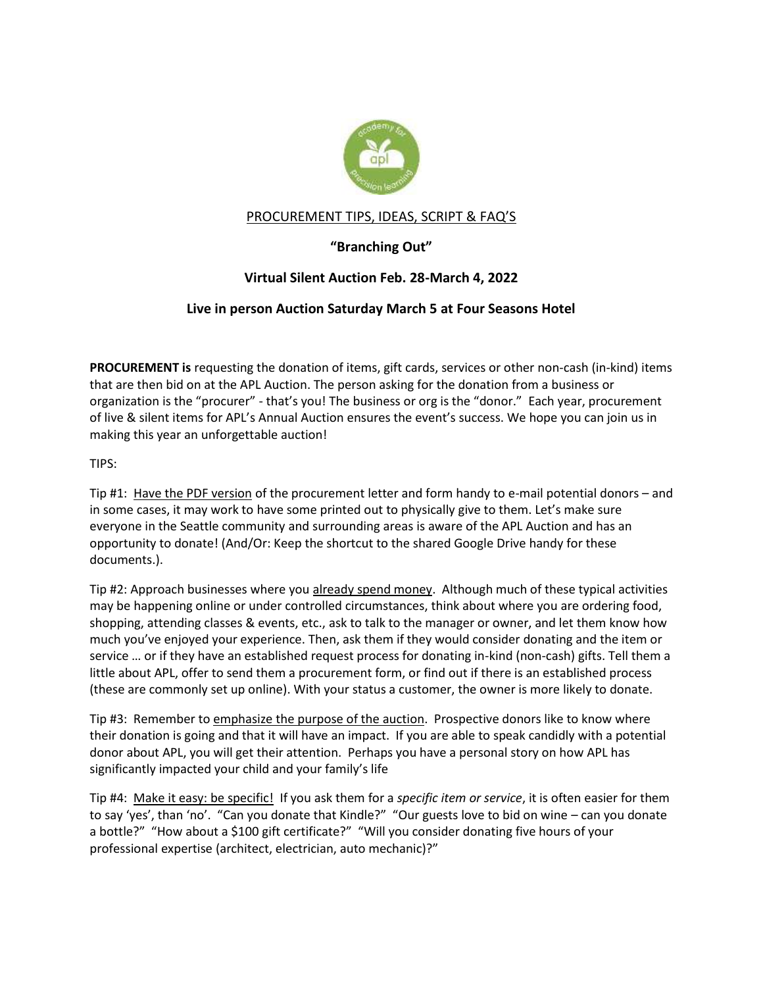

# PROCUREMENT TIPS, IDEAS, SCRIPT & FAQ'S

# **"Branching Out"**

# **Virtual Silent Auction Feb. 28-March 4, 2022**

# **Live in person Auction Saturday March 5 at Four Seasons Hotel**

**PROCUREMENT is** requesting the donation of items, gift cards, services or other non-cash (in-kind) items that are then bid on at the APL Auction. The person asking for the donation from a business or organization is the "procurer" - that's you! The business or org is the "donor." Each year, procurement of live & silent items for APL's Annual Auction ensures the event's success. We hope you can join us in making this year an unforgettable auction!

TIPS:

Tip #1: Have the PDF version of the procurement letter and form handy to e-mail potential donors – and in some cases, it may work to have some printed out to physically give to them. Let's make sure everyone in the Seattle community and surrounding areas is aware of the APL Auction and has an opportunity to donate! (And/Or: Keep the shortcut to the shared Google Drive handy for these documents.).

Tip #2: Approach businesses where you already spend money. Although much of these typical activities may be happening online or under controlled circumstances, think about where you are ordering food, shopping, attending classes & events, etc., ask to talk to the manager or owner, and let them know how much you've enjoyed your experience. Then, ask them if they would consider donating and the item or service … or if they have an established request process for donating in-kind (non-cash) gifts. Tell them a little about APL, offer to send them a procurement form, or find out if there is an established process (these are commonly set up online). With your status a customer, the owner is more likely to donate.

Tip #3: Remember to emphasize the purpose of the auction. Prospective donors like to know where their donation is going and that it will have an impact. If you are able to speak candidly with a potential donor about APL, you will get their attention. Perhaps you have a personal story on how APL has significantly impacted your child and your family's life

Tip #4: Make it easy: be specific! If you ask them for a *specific item or service*, it is often easier for them to say 'yes', than 'no'. "Can you donate that Kindle?" "Our guests love to bid on wine – can you donate a bottle?" "How about a \$100 gift certificate?" "Will you consider donating five hours of your professional expertise (architect, electrician, auto mechanic)?"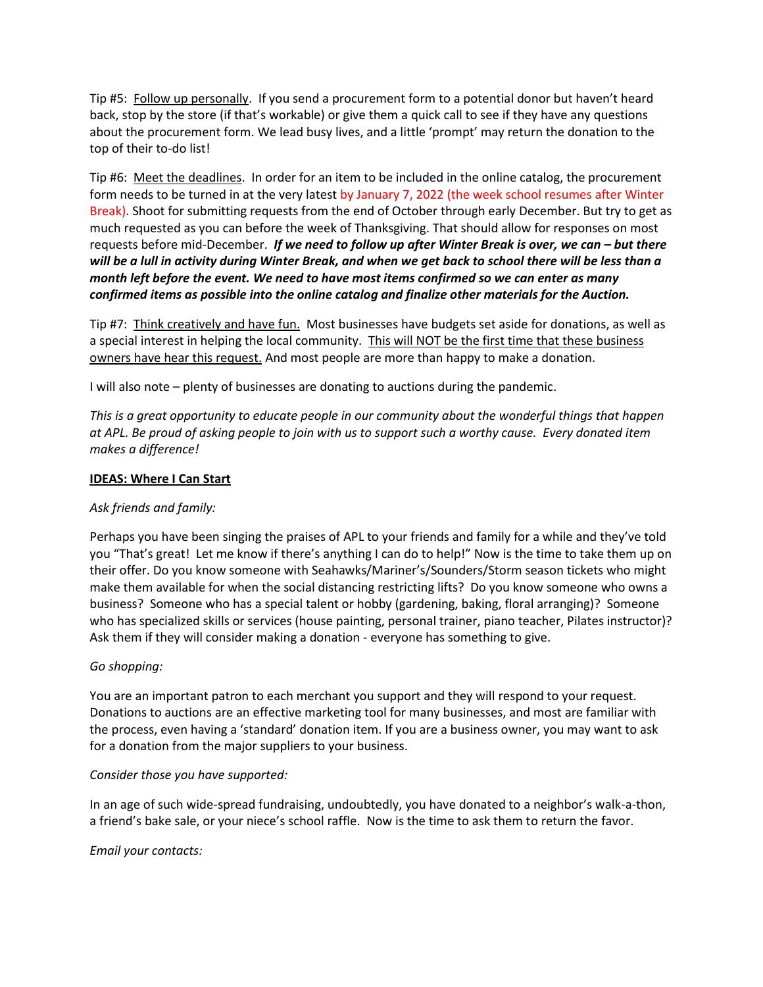Tip #5: Follow up personally. If you send a procurement form to a potential donor but haven't heard back, stop by the store (if that's workable) or give them a quick call to see if they have any questions about the procurement form. We lead busy lives, and a little 'prompt' may return the donation to the top of their to-do list!

Tip #6: Meet the deadlines. In order for an item to be included in the online catalog, the procurement form needs to be turned in at the very latest by January 7, 2022 (the week school resumes after Winter Break). Shoot for submitting requests from the end of October through early December. But try to get as much requested as you can before the week of Thanksgiving. That should allow for responses on most requests before mid-December. *If we need to follow up after Winter Break is over, we can – but there will be a lull in activity during Winter Break, and when we get back to school there will be less than a month left before the event. We need to have most items confirmed so we can enter as many confirmed items as possible into the online catalog and finalize other materials for the Auction.*

Tip #7: Think creatively and have fun. Most businesses have budgets set aside for donations, as well as a special interest in helping the local community. This will NOT be the first time that these business owners have hear this request. And most people are more than happy to make a donation.

I will also note – plenty of businesses are donating to auctions during the pandemic.

*This is a great opportunity to educate people in our community about the wonderful things that happen at APL. Be proud of asking people to join with us to support such a worthy cause. Every donated item makes a difference!*

## **IDEAS: Where I Can Start**

## *Ask friends and family:*

Perhaps you have been singing the praises of APL to your friends and family for a while and they've told you "That's great! Let me know if there's anything I can do to help!" Now is the time to take them up on their offer. Do you know someone with Seahawks/Mariner's/Sounders/Storm season tickets who might make them available for when the social distancing restricting lifts? Do you know someone who owns a business? Someone who has a special talent or hobby (gardening, baking, floral arranging)? Someone who has specialized skills or services (house painting, personal trainer, piano teacher, Pilates instructor)? Ask them if they will consider making a donation - everyone has something to give.

## *Go shopping:*

You are an important patron to each merchant you support and they will respond to your request. Donations to auctions are an effective marketing tool for many businesses, and most are familiar with the process, even having a 'standard' donation item. If you are a business owner, you may want to ask for a donation from the major suppliers to your business.

## *Consider those you have supported:*

In an age of such wide-spread fundraising, undoubtedly, you have donated to a neighbor's walk-a-thon, a friend's bake sale, or your niece's school raffle. Now is the time to ask them to return the favor.

*Email your contacts:*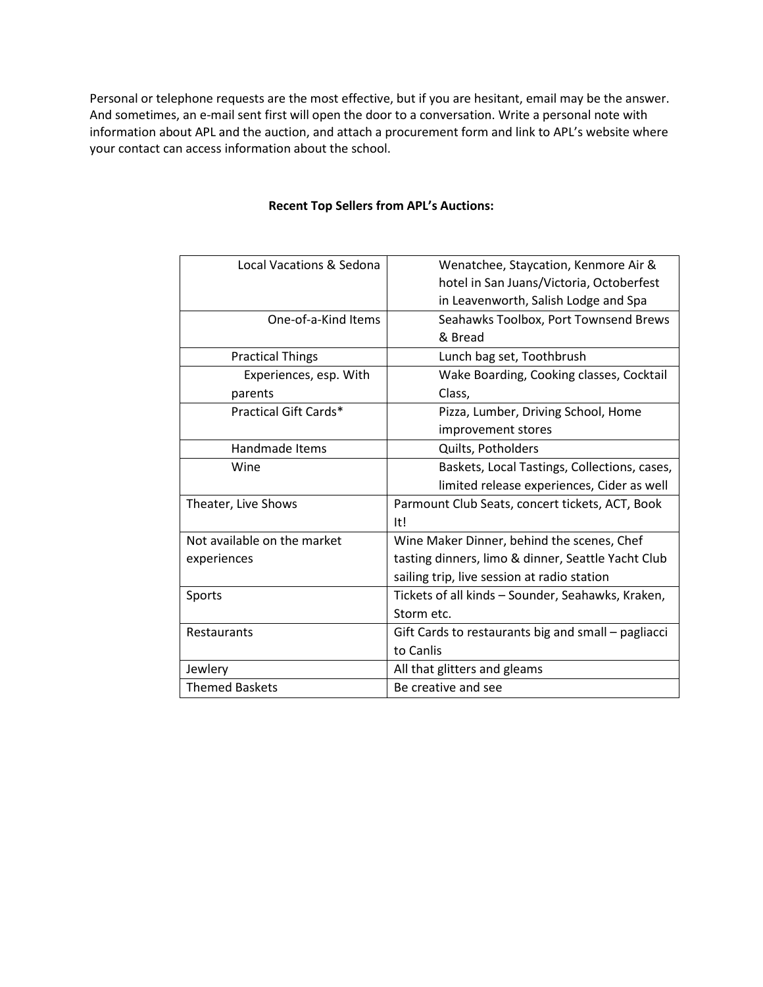Personal or telephone requests are the most effective, but if you are hesitant, email may be the answer. And sometimes, an e-mail sent first will open the door to a conversation. Write a personal note with information about APL and the auction, and attach a procurement form and link to APL's website where your contact can access information about the school.

| Local Vacations & Sedona    | Wenatchee, Staycation, Kenmore Air &                |
|-----------------------------|-----------------------------------------------------|
|                             | hotel in San Juans/Victoria, Octoberfest            |
|                             | in Leavenworth, Salish Lodge and Spa                |
| One-of-a-Kind Items         | Seahawks Toolbox, Port Townsend Brews               |
|                             | & Bread                                             |
| <b>Practical Things</b>     | Lunch bag set, Toothbrush                           |
| Experiences, esp. With      | Wake Boarding, Cooking classes, Cocktail            |
| parents                     | Class,                                              |
| Practical Gift Cards*       | Pizza, Lumber, Driving School, Home                 |
|                             | improvement stores                                  |
| Handmade Items              | Quilts, Potholders                                  |
| Wine                        | Baskets, Local Tastings, Collections, cases,        |
|                             | limited release experiences, Cider as well          |
| Theater, Live Shows         | Parmount Club Seats, concert tickets, ACT, Book     |
|                             | It!                                                 |
| Not available on the market | Wine Maker Dinner, behind the scenes, Chef          |
| experiences                 | tasting dinners, limo & dinner, Seattle Yacht Club  |
|                             | sailing trip, live session at radio station         |
| Sports                      | Tickets of all kinds - Sounder, Seahawks, Kraken,   |
|                             | Storm etc.                                          |
| Restaurants                 | Gift Cards to restaurants big and small - pagliacci |
|                             | to Canlis                                           |
| Jewlery                     | All that glitters and gleams                        |
| <b>Themed Baskets</b>       | Be creative and see                                 |

## **Recent Top Sellers from APL's Auctions:**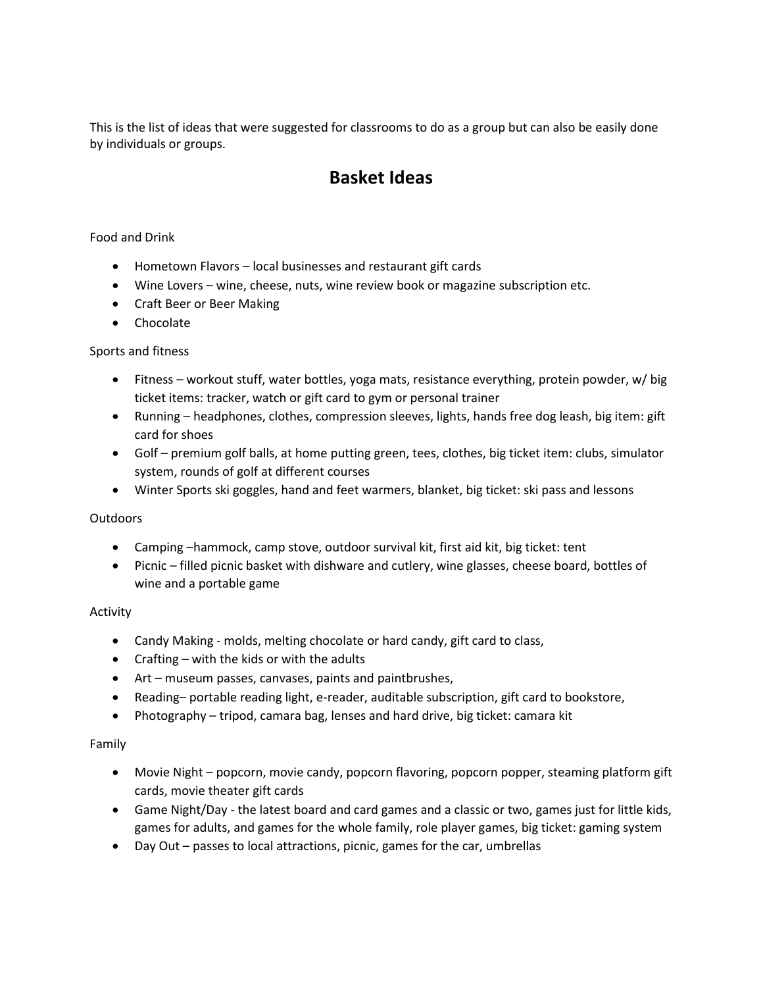This is the list of ideas that were suggested for classrooms to do as a group but can also be easily done by individuals or groups.

# **Basket Ideas**

# Food and Drink

- Hometown Flavors local businesses and restaurant gift cards
- Wine Lovers wine, cheese, nuts, wine review book or magazine subscription etc.
- Craft Beer or Beer Making
- Chocolate

## Sports and fitness

- Fitness workout stuff, water bottles, yoga mats, resistance everything, protein powder, w/ big ticket items: tracker, watch or gift card to gym or personal trainer
- Running headphones, clothes, compression sleeves, lights, hands free dog leash, big item: gift card for shoes
- Golf premium golf balls, at home putting green, tees, clothes, big ticket item: clubs, simulator system, rounds of golf at different courses
- Winter Sports ski goggles, hand and feet warmers, blanket, big ticket: ski pass and lessons

## **Outdoors**

- Camping –hammock, camp stove, outdoor survival kit, first aid kit, big ticket: tent
- Picnic filled picnic basket with dishware and cutlery, wine glasses, cheese board, bottles of wine and a portable game

## Activity

- Candy Making molds, melting chocolate or hard candy, gift card to class,
- Crafting with the kids or with the adults
- Art museum passes, canvases, paints and paintbrushes,
- Reading– portable reading light, e-reader, auditable subscription, gift card to bookstore,
- Photography tripod, camara bag, lenses and hard drive, big ticket: camara kit

## Family

- Movie Night popcorn, movie candy, popcorn flavoring, popcorn popper, steaming platform gift cards, movie theater gift cards
- Game Night/Day the latest board and card games and a classic or two, games just for little kids, games for adults, and games for the whole family, role player games, big ticket: gaming system
- Day Out passes to local attractions, picnic, games for the car, umbrellas